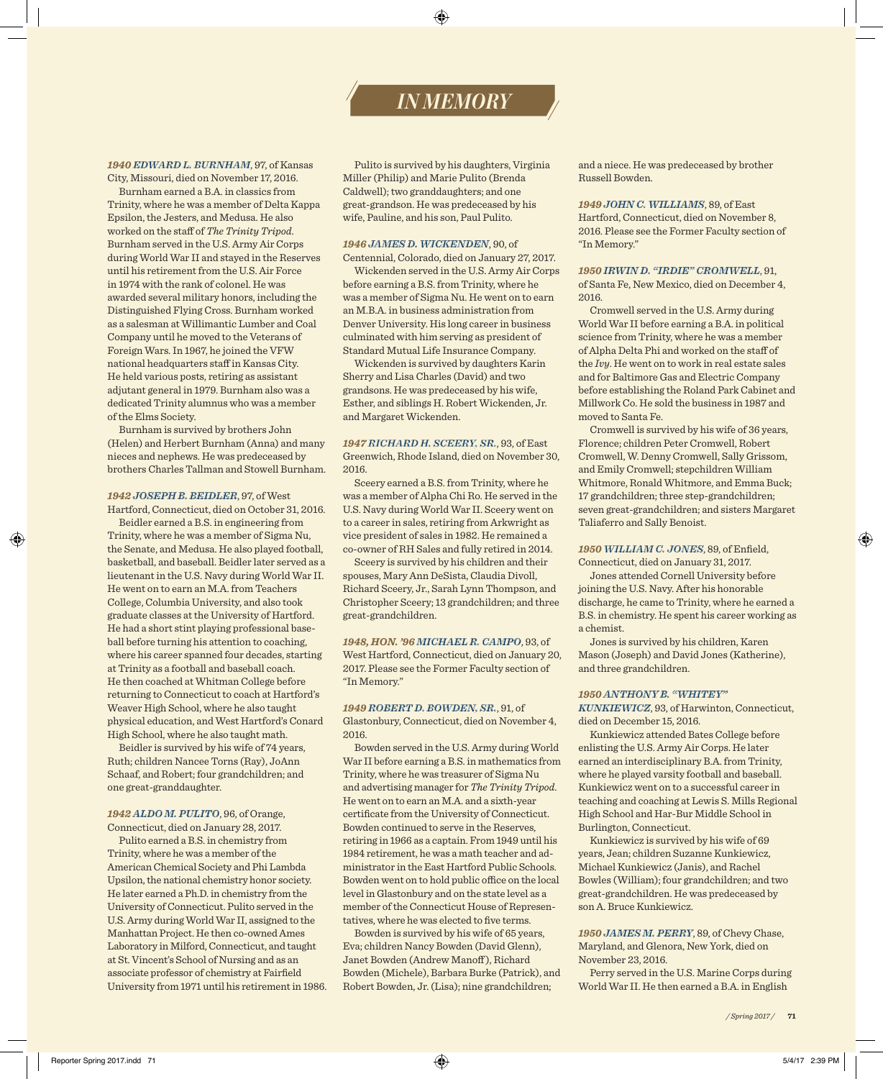# *IN MEMORY*

### *1940 EDWARD L. BURNHAM*, 97, of Kansas City, Missouri, died on November 17, 2016.

Burnham earned a B.A. in classics from Trinity, where he was a member of Delta Kappa Epsilon, the Jesters, and Medusa. He also worked on the staff of *The Trinity Tripod*. Burnham served in the U.S. Army Air Corps during World War II and stayed in the Reserves until his retirement from the U.S. Air Force in 1974 with the rank of colonel. He was awarded several military honors, including the Distinguished Flying Cross. Burnham worked as a salesman at Willimantic Lumber and Coal Company until he moved to the Veterans of Foreign Wars. In 1967, he joined the VFW national headquarters staff in Kansas City. He held various posts, retiring as assistant adjutant general in 1979. Burnham also was a dedicated Trinity alumnus who was a member of the Elms Society.

Burnham is survived by brothers John (Helen) and Herbert Burnham (Anna) and many nieces and nephews. He was predeceased by brothers Charles Tallman and Stowell Burnham.

### *1942 JOSEPH B. BEIDLER*, 97, of West Hartford, Connecticut, died on October 31, 2016.

Beidler earned a B.S. in engineering from Trinity, where he was a member of Sigma Nu, the Senate, and Medusa. He also played football, basketball, and baseball. Beidler later served as a lieutenant in the U.S. Navy during World War II. He went on to earn an M.A. from Teachers College, Columbia University, and also took graduate classes at the University of Hartford. He had a short stint playing professional baseball before turning his attention to coaching, where his career spanned four decades, starting at Trinity as a football and baseball coach. He then coached at Whitman College before returning to Connecticut to coach at Hartford's Weaver High School, where he also taught physical education, and West Hartford's Conard High School, where he also taught math.

Beidler is survived by his wife of 74 years, Ruth; children Nancee Torns (Ray), JoAnn Schaaf, and Robert; four grandchildren; and one great-granddaughter.

### *1942 ALDO M. PULITO*, 96, of Orange, Connecticut, died on January 28, 2017.

Pulito earned a B.S. in chemistry from Trinity, where he was a member of the American Chemical Society and Phi Lambda Upsilon, the national chemistry honor society. He later earned a Ph.D. in chemistry from the University of Connecticut. Pulito served in the U.S. Army during World War II, assigned to the Manhattan Project. He then co-owned Ames Laboratory in Milford, Connecticut, and taught at St. Vincent's School of Nursing and as an associate professor of chemistry at Fairfield University from 1971 until his retirement in 1986.

Pulito is survived by his daughters, Virginia Miller (Philip) and Marie Pulito (Brenda Caldwell); two granddaughters; and one great-grandson. He was predeceased by his wife, Pauline, and his son, Paul Pulito.

### *1946 JAMES D. WICKENDEN*, 90, of Centennial, Colorado, died on January 27, 2017.

Wickenden served in the U.S. Army Air Corps before earning a B.S. from Trinity, where he was a member of Sigma Nu. He went on to earn an M.B.A. in business administration from Denver University. His long career in business culminated with him serving as president of Standard Mutual Life Insurance Company.

Wickenden is survived by daughters Karin Sherry and Lisa Charles (David) and two grandsons. He was predeceased by his wife, Esther, and siblings H. Robert Wickenden, Jr. and Margaret Wickenden.

*1947 RICHARD H. SCEERY, SR.*, 93, of East Greenwich, Rhode Island, died on November 30, 2016.

Sceery earned a B.S. from Trinity, where he was a member of Alpha Chi Ro. He served in the U.S. Navy during World War II. Sceery went on to a career in sales, retiring from Arkwright as vice president of sales in 1982. He remained a co-owner of RH Sales and fully retired in 2014.

Sceery is survived by his children and their spouses, Mary Ann DeSista, Claudia Divoll, Richard Sceery, Jr., Sarah Lynn Thompson, and Christopher Sceery; 13 grandchildren; and three great-grandchildren.

*1948, HON. '96 MICHAEL R. CAMPO*, 93, of West Hartford, Connecticut, died on January 20, 2017. Please see the Former Faculty section of "In Memory."

### *1949 ROBERT D. BOWDEN, SR.*, 91, of

Glastonbury, Connecticut, died on November 4, 2016.

Bowden served in the U.S. Army during World War II before earning a B.S. in mathematics from Trinity, where he was treasurer of Sigma Nu and advertising manager for *The Trinity Tripod*. He went on to earn an M.A. and a sixth-year certificate from the University of Connecticut. Bowden continued to serve in the Reserves, retiring in 1966 as a captain. From 1949 until his 1984 retirement, he was a math teacher and administrator in the East Hartford Public Schools. Bowden went on to hold public office on the local level in Glastonbury and on the state level as a member of the Connecticut House of Representatives, where he was elected to five terms.

Bowden is survived by his wife of 65 years, Eva; children Nancy Bowden (David Glenn), Janet Bowden (Andrew Manoff ), Richard Bowden (Michele), Barbara Burke (Patrick), and Robert Bowden, Jr. (Lisa); nine grandchildren;

and a niece. He was predeceased by brother Russell Bowden.

### *1949 JOHN C. WILLIAMS*, 89, of East Hartford, Connecticut, died on November 8, 2016. Please see the Former Faculty section of "In Memory."

### *1950 IRWIN D. "IRDIE" CROMWELL*, 91,

of Santa Fe, New Mexico, died on December 4, 2016.

Cromwell served in the U.S. Army during World War II before earning a B.A. in political science from Trinity, where he was a member of Alpha Delta Phi and worked on the staff of the *Ivy*. He went on to work in real estate sales and for Baltimore Gas and Electric Company before establishing the Roland Park Cabinet and Millwork Co. He sold the business in 1987 and moved to Santa Fe.

Cromwell is survived by his wife of 36 years, Florence; children Peter Cromwell, Robert Cromwell, W. Denny Cromwell, Sally Grissom, and Emily Cromwell; stepchildren William Whitmore, Ronald Whitmore, and Emma Buck; 17 grandchildren; three step-grandchildren; seven great-grandchildren; and sisters Margaret Taliaferro and Sally Benoist.

### *1950 WILLIAM C. JONES*, 89, of Enfield,

Connecticut, died on January 31, 2017.

Jones attended Cornell University before joining the U.S. Navy. After his honorable discharge, he came to Trinity, where he earned a B.S. in chemistry. He spent his career working as a chemist.

Jones is survived by his children, Karen Mason (Joseph) and David Jones (Katherine), and three grandchildren.

### *1950 ANTHONY B. "WHITEY"*

*KUNKIEWICZ*, 93, of Harwinton, Connecticut, died on December 15, 2016.

Kunkiewicz attended Bates College before enlisting the U.S. Army Air Corps. He later earned an interdisciplinary B.A. from Trinity, where he played varsity football and baseball. Kunkiewicz went on to a successful career in teaching and coaching at Lewis S. Mills Regional High School and Har-Bur Middle School in Burlington, Connecticut.

Kunkiewicz is survived by his wife of 69 years, Jean; children Suzanne Kunkiewicz, Michael Kunkiewicz (Janis), and Rachel Bowles (William); four grandchildren; and two great-grandchildren. He was predeceased by son A. Bruce Kunkiewicz.

### *1950 JAMES M. PERRY*, 89, of Chevy Chase, Maryland, and Glenora, New York, died on November 23, 2016.

Perry served in the U.S. Marine Corps during World War II. He then earned a B.A. in English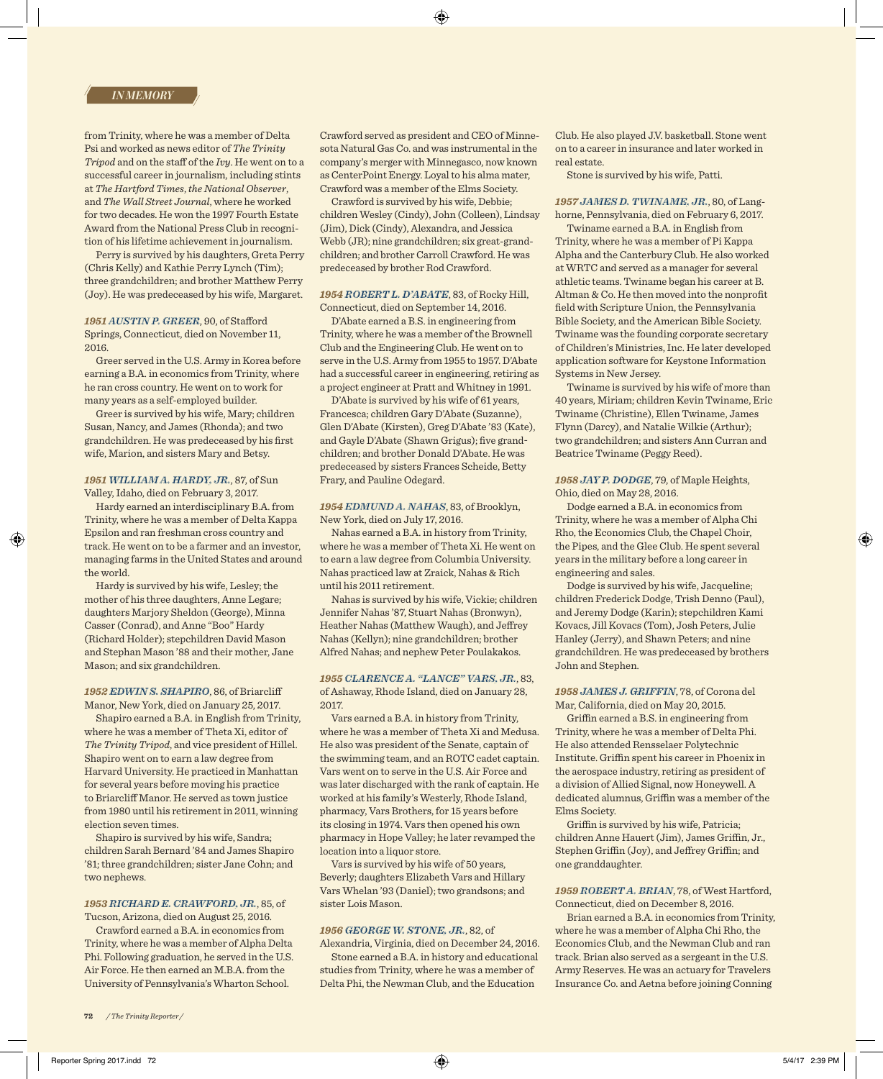from Trinity, where he was a member of Delta Psi and worked as news editor of *The Trinity Tripod* and on the staff of the *Ivy*. He went on to a successful career in journalism, including stints at *The Hartford Times*, *the National Observer*, and *The Wall Street Journal*, where he worked for two decades. He won the 1997 Fourth Estate Award from the National Press Club in recognition of his lifetime achievement in journalism.

Perry is survived by his daughters, Greta Perry (Chris Kelly) and Kathie Perry Lynch (Tim); three grandchildren; and brother Matthew Perry (Joy). He was predeceased by his wife, Margaret.

*1951 AUSTIN P. GREER*, 90, of Stafford Springs, Connecticut, died on November 11, 2016.

Greer served in the U.S. Army in Korea before earning a B.A. in economics from Trinity, where he ran cross country. He went on to work for many years as a self-employed builder.

Greer is survived by his wife, Mary; children Susan, Nancy, and James (Rhonda); and two grandchildren. He was predeceased by his first wife, Marion, and sisters Mary and Betsy.

### *1951 WILLIAM A. HARDY, JR.*, 87, of Sun Valley, Idaho, died on February 3, 2017.

Hardy earned an interdisciplinary B.A. from Trinity, where he was a member of Delta Kappa Epsilon and ran freshman cross country and track. He went on to be a farmer and an investor, managing farms in the United States and around the world.

Hardy is survived by his wife, Lesley; the mother of his three daughters, Anne Legare; daughters Marjory Sheldon (George), Minna Casser (Conrad), and Anne "Boo" Hardy (Richard Holder); stepchildren David Mason and Stephan Mason '88 and their mother, Jane Mason; and six grandchildren.

### *1952 EDWIN S. SHAPIRO*, 86, of Briarcliff Manor, New York, died on January 25, 2017.

Shapiro earned a B.A. in English from Trinity, where he was a member of Theta Xi, editor of *The Trinity Tripod*, and vice president of Hillel. Shapiro went on to earn a law degree from Harvard University. He practiced in Manhattan for several years before moving his practice to Briarcliff Manor. He served as town justice from 1980 until his retirement in 2011, winning election seven times.

Shapiro is survived by his wife, Sandra; children Sarah Bernard '84 and James Shapiro '81; three grandchildren; sister Jane Cohn; and two nephews.

# *1953 RICHARD E. CRAWFORD, JR.*, 85, of

Tucson, Arizona, died on August 25, 2016.

Crawford earned a B.A. in economics from Trinity, where he was a member of Alpha Delta Phi. Following graduation, he served in the U.S. Air Force. He then earned an M.B.A. from the University of Pennsylvania's Wharton School.

Crawford served as president and CEO of Minnesota Natural Gas Co. and was instrumental in the company's merger with Minnegasco, now known as CenterPoint Energy. Loyal to his alma mater, Crawford was a member of the Elms Society.

Crawford is survived by his wife, Debbie; children Wesley (Cindy), John (Colleen), Lindsay (Jim), Dick (Cindy), Alexandra, and Jessica Webb (JR); nine grandchildren; six great-grandchildren; and brother Carroll Crawford. He was predeceased by brother Rod Crawford.

### *1954 ROBERT L. D'ABATE*, 83, of Rocky Hill, Connecticut, died on September 14, 2016.

D'Abate earned a B.S. in engineering from Trinity, where he was a member of the Brownell Club and the Engineering Club. He went on to serve in the U.S. Army from 1955 to 1957. D'Abate had a successful career in engineering, retiring as a project engineer at Pratt and Whitney in 1991.

D'Abate is survived by his wife of 61 years, Francesca; children Gary D'Abate (Suzanne), Glen D'Abate (Kirsten), Greg D'Abate '83 (Kate), and Gayle D'Abate (Shawn Grigus); five grandchildren; and brother Donald D'Abate. He was predeceased by sisters Frances Scheide, Betty Frary, and Pauline Odegard.

### *1954 EDMUND A. NAHAS*, 83, of Brooklyn, New York, died on July 17, 2016.

Nahas earned a B.A. in history from Trinity, where he was a member of Theta Xi. He went on to earn a law degree from Columbia University. Nahas practiced law at Zraick, Nahas & Rich until his 2011 retirement.

Nahas is survived by his wife, Vickie; children Jennifer Nahas '87, Stuart Nahas (Bronwyn), Heather Nahas (Matthew Waugh), and Jeffrey Nahas (Kellyn); nine grandchildren; brother Alfred Nahas; and nephew Peter Poulakakos.

### *1955 CLARENCE A. "LANCE" VARS, JR.*, 83,

of Ashaway, Rhode Island, died on January 28, 2017.

Vars earned a B.A. in history from Trinity, where he was a member of Theta Xi and Medusa. He also was president of the Senate, captain of the swimming team, and an ROTC cadet captain. Vars went on to serve in the U.S. Air Force and was later discharged with the rank of captain. He worked at his family's Westerly, Rhode Island, pharmacy, Vars Brothers, for 15 years before its closing in 1974. Vars then opened his own pharmacy in Hope Valley; he later revamped the location into a liquor store.

Vars is survived by his wife of 50 years, Beverly; daughters Elizabeth Vars and Hillary Vars Whelan '93 (Daniel); two grandsons; and sister Lois Mason.

### *1956 GEORGE W. STONE, JR.*, 82, of

Alexandria, Virginia, died on December 24, 2016. Stone earned a B.A. in history and educational studies from Trinity, where he was a member of Delta Phi, the Newman Club, and the Education

Club. He also played J.V. basketball. Stone went on to a career in insurance and later worked in real estate.

Stone is survived by his wife, Patti.

*1957 JAMES D. TWINAME, JR.*, 80, of Langhorne, Pennsylvania, died on February 6, 2017.

Twiname earned a B.A. in English from Trinity, where he was a member of Pi Kappa Alpha and the Canterbury Club. He also worked at WRTC and served as a manager for several athletic teams. Twiname began his career at B. Altman & Co. He then moved into the nonprofit field with Scripture Union, the Pennsylvania Bible Society, and the American Bible Society. Twiname was the founding corporate secretary of Children's Ministries, Inc. He later developed application software for Keystone Information Systems in New Jersey.

Twiname is survived by his wife of more than 40 years, Miriam; children Kevin Twiname, Eric Twiname (Christine), Ellen Twiname, James Flynn (Darcy), and Natalie Wilkie (Arthur); two grandchildren; and sisters Ann Curran and Beatrice Twiname (Peggy Reed).

*1958 JAY P. DODGE*, 79, of Maple Heights, Ohio, died on May 28, 2016.

Dodge earned a B.A. in economics from Trinity, where he was a member of Alpha Chi Rho, the Economics Club, the Chapel Choir, the Pipes, and the Glee Club. He spent several years in the military before a long career in engineering and sales.

Dodge is survived by his wife, Jacqueline; children Frederick Dodge, Trish Denno (Paul), and Jeremy Dodge (Karin); stepchildren Kami Kovacs, Jill Kovacs (Tom), Josh Peters, Julie Hanley (Jerry), and Shawn Peters; and nine grandchildren. He was predeceased by brothers John and Stephen.

### *1958 JAMES J. GRIFFIN*, 78, of Corona del Mar, California, died on May 20, 2015.

Griffin earned a B.S. in engineering from Trinity, where he was a member of Delta Phi. He also attended Rensselaer Polytechnic Institute. Griffin spent his career in Phoenix in the aerospace industry, retiring as president of a division of Allied Signal, now Honeywell. A dedicated alumnus, Griffin was a member of the Elms Society.

Griffin is survived by his wife, Patricia; children Anne Hauert (Jim), James Griffin, Jr., Stephen Griffin (Joy), and Jeffrey Griffin; and one granddaughter.

### *1959 ROBERT A. BRIAN*, 78, of West Hartford, Connecticut, died on December 8, 2016.

Brian earned a B.A. in economics from Trinity, where he was a member of Alpha Chi Rho, the Economics Club, and the Newman Club and ran track. Brian also served as a sergeant in the U.S. Army Reserves. He was an actuary for Travelers Insurance Co. and Aetna before joining Conning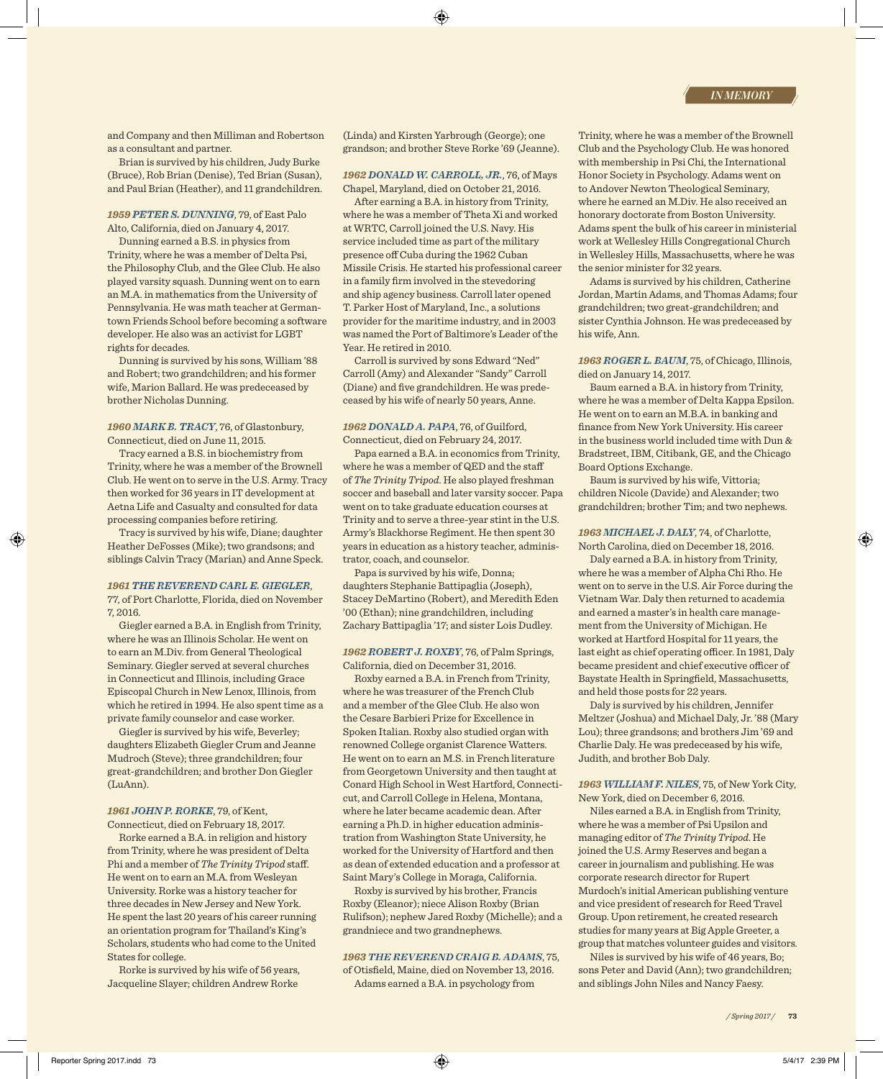and Company and then Milliman and Robertson as a consultant and partner.

Brian is survived by his children, Judy Burke (Bruce), Rob Brian (Denise), Ted Brian (Susan), and Paul Brian (Heather), and 11 grandchildren.

### *1959 PETER S. DUNNING*, 79, of East Palo Alto, California, died on January 4, 2017.

Dunning earned a B.S. in physics from Trinity, where he was a member of Delta Psi, the Philosophy Club, and the Glee Club. He also played varsity squash. Dunning went on to earn an M.A. in mathematics from the University of Pennsylvania. He was math teacher at Germantown Friends School before becoming a software developer. He also was an activist for LGBT rights for decades.

Dunning is survived by his sons, William '88 and Robert; two grandchildren; and his former wife, Marion Ballard. He was predeceased by brother Nicholas Dunning.

### *1960 MARK B. TRACY*, 76, of Glastonbury, Connecticut, died on June 11, 2015.

Tracy earned a B.S. in biochemistry from Trinity, where he was a member of the Brownell Club. He went on to serve in the U.S. Army. Tracy then worked for 36 years in IT development at Aetna Life and Casualty and consulted for data processing companies before retiring.

Tracy is survived by his wife, Diane; daughter Heather DeFosses (Mike); two grandsons; and siblings Calvin Tracy (Marian) and Anne Speck.

#### *1961 THE REVEREND CARL E. GIEGLER*,

77, of Port Charlotte, Florida, died on November 7, 2016.

Giegler earned a B.A. in English from Trinity, where he was an Illinois Scholar. He went on to earn an M.Div. from General Theological Seminary. Giegler served at several churches in Connecticut and Illinois, including Grace Episcopal Church in New Lenox, Illinois, from which he retired in 1994. He also spent time as a private family counselor and case worker.

Giegler is survived by his wife, Beverley; daughters Elizabeth Giegler Crum and Jeanne Mudroch (Steve); three grandchildren; four great-grandchildren; and brother Don Giegler (LuAnn).

### *1961 JOHN P. RORKE*, 79, of Kent,

Connecticut, died on February 18, 2017. Rorke earned a B.A. in religion and history

from Trinity, where he was president of Delta Phi and a member of *The Trinity Tripod* staff. He went on to earn an M.A. from Wesleyan University. Rorke was a history teacher for three decades in New Jersey and New York. He spent the last 20 years of his career running an orientation program for Thailand's King's Scholars, students who had come to the United States for college.

Rorke is survived by his wife of 56 years, Jacqueline Slayer; children Andrew Rorke

(Linda) and Kirsten Yarbrough (George); one grandson; and brother Steve Rorke '69 (Jeanne).

#### *1962 DONALD W. CARROLL, JR.*, 76, of Mays Chapel, Maryland, died on October 21, 2016.

After earning a B.A. in history from Trinity, where he was a member of Theta Xi and worked at WRTC, Carroll joined the U.S. Navy. His service included time as part of the military presence off Cuba during the 1962 Cuban Missile Crisis. He started his professional career in a family firm involved in the stevedoring and ship agency business. Carroll later opened T. Parker Host of Maryland, Inc., a solutions provider for the maritime industry, and in 2003 was named the Port of Baltimore's Leader of the Year. He retired in 2010.

Carroll is survived by sons Edward "Ned" Carroll (Amy) and Alexander "Sandy" Carroll (Diane) and five grandchildren. He was predeceased by his wife of nearly 50 years, Anne.

### *1962 DONALD A. PAPA*, 76, of Guilford, Connecticut, died on February 24, 2017.

Papa earned a B.A. in economics from Trinity, where he was a member of QED and the staff of *The Trinity Tripod*. He also played freshman soccer and baseball and later varsity soccer. Papa went on to take graduate education courses at Trinity and to serve a three-year stint in the U.S. Army's Blackhorse Regiment. He then spent 30 years in education as a history teacher, administrator, coach, and counselor.

Papa is survived by his wife, Donna; daughters Stephanie Battipaglia (Joseph), Stacey DeMartino (Robert), and Meredith Eden '00 (Ethan); nine grandchildren, including Zachary Battipaglia '17; and sister Lois Dudley.

### *1962 ROBERT J. ROXBY*, 76, of Palm Springs, California, died on December 31, 2016.

Roxby earned a B.A. in French from Trinity, where he was treasurer of the French Club and a member of the Glee Club. He also won the Cesare Barbieri Prize for Excellence in Spoken Italian. Roxby also studied organ with renowned College organist Clarence Watters. He went on to earn an M.S. in French literature from Georgetown University and then taught at Conard High School in West Hartford, Connecticut, and Carroll College in Helena, Montana, where he later became academic dean. After earning a Ph.D. in higher education administration from Washington State University, he worked for the University of Hartford and then as dean of extended education and a professor at Saint Mary's College in Moraga, California.

Roxby is survived by his brother, Francis Roxby (Eleanor); niece Alison Roxby (Brian Rulifson); nephew Jared Roxby (Michelle); and a grandniece and two grandnephews.

### *1963 THE REVEREND CRAIG B. ADAMS*, 75,

of Otisfield, Maine, died on November 13, 2016. Adams earned a B.A. in psychology from

Trinity, where he was a member of the Brownell Club and the Psychology Club. He was honored with membership in Psi Chi, the International Honor Society in Psychology. Adams went on to Andover Newton Theological Seminary, where he earned an M.Div. He also received an honorary doctorate from Boston University. Adams spent the bulk of his career in ministerial work at Wellesley Hills Congregational Church in Wellesley Hills, Massachusetts, where he was the senior minister for 32 years.

Adams is survived by his children, Catherine Jordan, Martin Adams, and Thomas Adams; four grandchildren; two great-grandchildren; and sister Cynthia Johnson. He was predeceased by his wife, Ann.

*1963 ROGER L. BAUM*, 75, of Chicago, Illinois, died on January 14, 2017.

Baum earned a B.A. in history from Trinity, where he was a member of Delta Kappa Epsilon. He went on to earn an M.B.A. in banking and finance from New York University. His career in the business world included time with Dun & Bradstreet, IBM, Citibank, GE, and the Chicago Board Options Exchange.

Baum is survived by his wife, Vittoria; children Nicole (Davide) and Alexander; two grandchildren; brother Tim; and two nephews.

### *1963 MICHAEL J. DALY*, 74, of Charlotte, North Carolina, died on December 18, 2016.

Daly earned a B.A. in history from Trinity, where he was a member of Alpha Chi Rho. He went on to serve in the U.S. Air Force during the Vietnam War. Daly then returned to academia and earned a master's in health care management from the University of Michigan. He worked at Hartford Hospital for 11 years, the last eight as chief operating officer. In 1981, Daly became president and chief executive officer of Baystate Health in Springfield, Massachusetts, and held those posts for 22 years.

Daly is survived by his children, Jennifer Meltzer (Joshua) and Michael Daly, Jr. '88 (Mary Lou); three grandsons; and brothers Jim '69 and Charlie Daly. He was predeceased by his wife, Judith, and brother Bob Daly.

### *1963 WILLIAM F. NILES*, 75, of New York City, New York, died on December 6, 2016.

Niles earned a B.A. in English from Trinity, where he was a member of Psi Upsilon and managing editor of *The Trinity Tripod*. He joined the U.S. Army Reserves and began a career in journalism and publishing. He was corporate research director for Rupert Murdoch's initial American publishing venture and vice president of research for Reed Travel Group. Upon retirement, he created research studies for many years at Big Apple Greeter, a group that matches volunteer guides and visitors.

Niles is survived by his wife of 46 years, Bo; sons Peter and David (Ann); two grandchildren; and siblings John Niles and Nancy Faesy.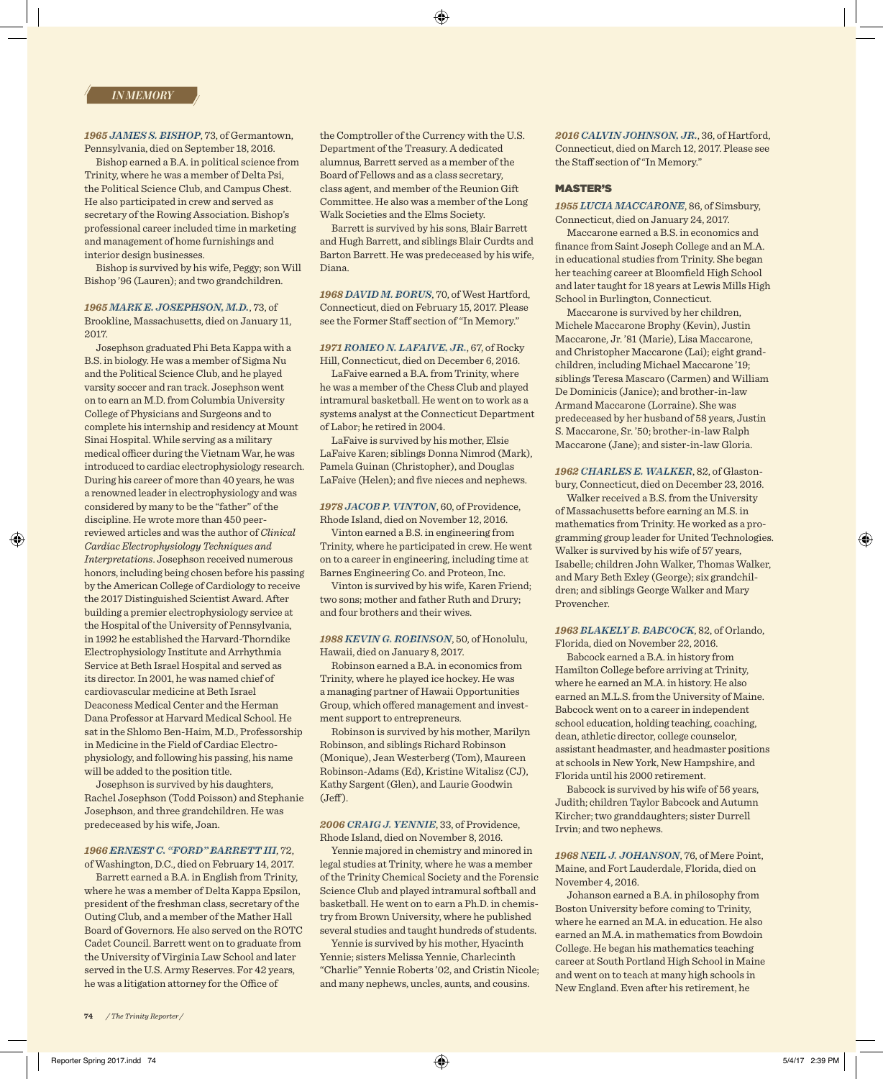*1965 JAMES S. BISHOP*, 73, of Germantown, Pennsylvania, died on September 18, 2016.

Bishop earned a B.A. in political science from Trinity, where he was a member of Delta Psi, the Political Science Club, and Campus Chest. He also participated in crew and served as secretary of the Rowing Association. Bishop's professional career included time in marketing and management of home furnishings and interior design businesses.

Bishop is survived by his wife, Peggy; son Will Bishop '96 (Lauren); and two grandchildren.

### *1965 MARK E. JOSEPHSON, M.D.*, 73, of Brookline, Massachusetts, died on January 11, 2017.

Josephson graduated Phi Beta Kappa with a B.S. in biology. He was a member of Sigma Nu and the Political Science Club, and he played varsity soccer and ran track. Josephson went on to earn an M.D. from Columbia University College of Physicians and Surgeons and to complete his internship and residency at Mount Sinai Hospital. While serving as a military medical officer during the Vietnam War, he was introduced to cardiac electrophysiology research. During his career of more than 40 years, he was a renowned leader in electrophysiology and was considered by many to be the "father" of the discipline. He wrote more than 450 peerreviewed articles and was the author of *Clinical Cardiac Electrophysiology Techniques and Interpretations*. Josephson received numerous honors, including being chosen before his passing by the American College of Cardiology to receive the 2017 Distinguished Scientist Award. After building a premier electrophysiology service at the Hospital of the University of Pennsylvania, in 1992 he established the Harvard-Thorndike Electrophysiology Institute and Arrhythmia Service at Beth Israel Hospital and served as its director. In 2001, he was named chief of cardiovascular medicine at Beth Israel Deaconess Medical Center and the Herman Dana Professor at Harvard Medical School. He sat in the Shlomo Ben-Haim, M.D., Professorship in Medicine in the Field of Cardiac Electrophysiology, and following his passing, his name will be added to the position title.

Josephson is survived by his daughters, Rachel Josephson (Todd Poisson) and Stephanie Josephson, and three grandchildren. He was predeceased by his wife, Joan.

## *1966 ERNEST C. "FORD" BARRETT III*, 72,

of Washington, D.C., died on February 14, 2017. Barrett earned a B.A. in English from Trinity,

where he was a member of Delta Kappa Epsilon, president of the freshman class, secretary of the Outing Club, and a member of the Mather Hall Board of Governors. He also served on the ROTC Cadet Council. Barrett went on to graduate from the University of Virginia Law School and later served in the U.S. Army Reserves. For 42 years, he was a litigation attorney for the Office of

the Comptroller of the Currency with the U.S. Department of the Treasury. A dedicated alumnus, Barrett served as a member of the Board of Fellows and as a class secretary, class agent, and member of the Reunion Gift Committee. He also was a member of the Long Walk Societies and the Elms Society.

Barrett is survived by his sons, Blair Barrett and Hugh Barrett, and siblings Blair Curdts and Barton Barrett. He was predeceased by his wife, Diana.

*1968 DAVID M. BORUS*, 70, of West Hartford, Connecticut, died on February 15, 2017. Please see the Former Staff section of "In Memory."

### *1971 ROMEO N. LAFAIVE, JR.*, 67, of Rocky Hill, Connecticut, died on December 6, 2016.

LaFaive earned a B.A. from Trinity, where he was a member of the Chess Club and played intramural basketball. He went on to work as a systems analyst at the Connecticut Department of Labor; he retired in 2004.

LaFaive is survived by his mother, Elsie LaFaive Karen; siblings Donna Nimrod (Mark), Pamela Guinan (Christopher), and Douglas LaFaive (Helen); and five nieces and nephews.

#### *1978 JACOB P. VINTON*, 60, of Providence, Rhode Island, died on November 12, 2016.

Vinton earned a B.S. in engineering from Trinity, where he participated in crew. He went on to a career in engineering, including time at Barnes Engineering Co. and Proteon, Inc.

Vinton is survived by his wife, Karen Friend; two sons; mother and father Ruth and Drury; and four brothers and their wives.

*1988 KEVIN G. ROBINSON*, 50, of Honolulu, Hawaii, died on January 8, 2017.

Robinson earned a B.A. in economics from Trinity, where he played ice hockey. He was a managing partner of Hawaii Opportunities Group, which offered management and investment support to entrepreneurs.

Robinson is survived by his mother, Marilyn Robinson, and siblings Richard Robinson (Monique), Jean Westerberg (Tom), Maureen Robinson-Adams (Ed), Kristine Witalisz (CJ), Kathy Sargent (Glen), and Laurie Goodwin  $(Jeff)$ .

### *2006 CRAIG J. YENNIE*, 33, of Providence, Rhode Island, died on November 8, 2016.

Yennie majored in chemistry and minored in legal studies at Trinity, where he was a member of the Trinity Chemical Society and the Forensic Science Club and played intramural softball and basketball. He went on to earn a Ph.D. in chemistry from Brown University, where he published several studies and taught hundreds of students.

Yennie is survived by his mother, Hyacinth Yennie; sisters Melissa Yennie, Charlecinth "Charlie" Yennie Roberts '02, and Cristin Nicole; and many nephews, uncles, aunts, and cousins.

*2016 CALVIN JOHNSON, JR.*, 36, of Hartford, Connecticut, died on March 12, 2017. Please see the Staff section of "In Memory."

#### MASTER'S

*1955 LUCIA MACCARONE*, 86, of Simsbury, Connecticut, died on January 24, 2017.

Maccarone earned a B.S. in economics and finance from Saint Joseph College and an M.A. in educational studies from Trinity. She began her teaching career at Bloomfield High School and later taught for 18 years at Lewis Mills High School in Burlington, Connecticut.

Maccarone is survived by her children, Michele Maccarone Brophy (Kevin), Justin Maccarone, Jr. '81 (Marie), Lisa Maccarone, and Christopher Maccarone (Lai); eight grandchildren, including Michael Maccarone '19; siblings Teresa Mascaro (Carmen) and William De Dominicis (Janice); and brother-in-law Armand Maccarone (Lorraine). She was predeceased by her husband of 58 years, Justin S. Maccarone, Sr. '50; brother-in-law Ralph Maccarone (Jane); and sister-in-law Gloria.

### *1962 CHARLES E. WALKER*, 82, of Glastonbury, Connecticut, died on December 23, 2016.

Walker received a B.S. from the University of Massachusetts before earning an M.S. in mathematics from Trinity. He worked as a programming group leader for United Technologies. Walker is survived by his wife of 57 years, Isabelle; children John Walker, Thomas Walker, and Mary Beth Exley (George); six grandchildren; and siblings George Walker and Mary Provencher.

### *1963 BLAKELY B. BABCOCK*, 82, of Orlando, Florida, died on November 22, 2016.

Babcock earned a B.A. in history from Hamilton College before arriving at Trinity, where he earned an M.A. in history. He also earned an M.L.S. from the University of Maine. Babcock went on to a career in independent school education, holding teaching, coaching, dean, athletic director, college counselor, assistant headmaster, and headmaster positions at schools in New York, New Hampshire, and Florida until his 2000 retirement.

Babcock is survived by his wife of 56 years, Judith; children Taylor Babcock and Autumn Kircher; two granddaughters; sister Durrell Irvin; and two nephews.

*1968 NEIL J. JOHANSON*, 76, of Mere Point, Maine, and Fort Lauderdale, Florida, died on November 4, 2016.

Johanson earned a B.A. in philosophy from Boston University before coming to Trinity, where he earned an M.A. in education. He also earned an M.A. in mathematics from Bowdoin College. He began his mathematics teaching career at South Portland High School in Maine and went on to teach at many high schools in New England. Even after his retirement, he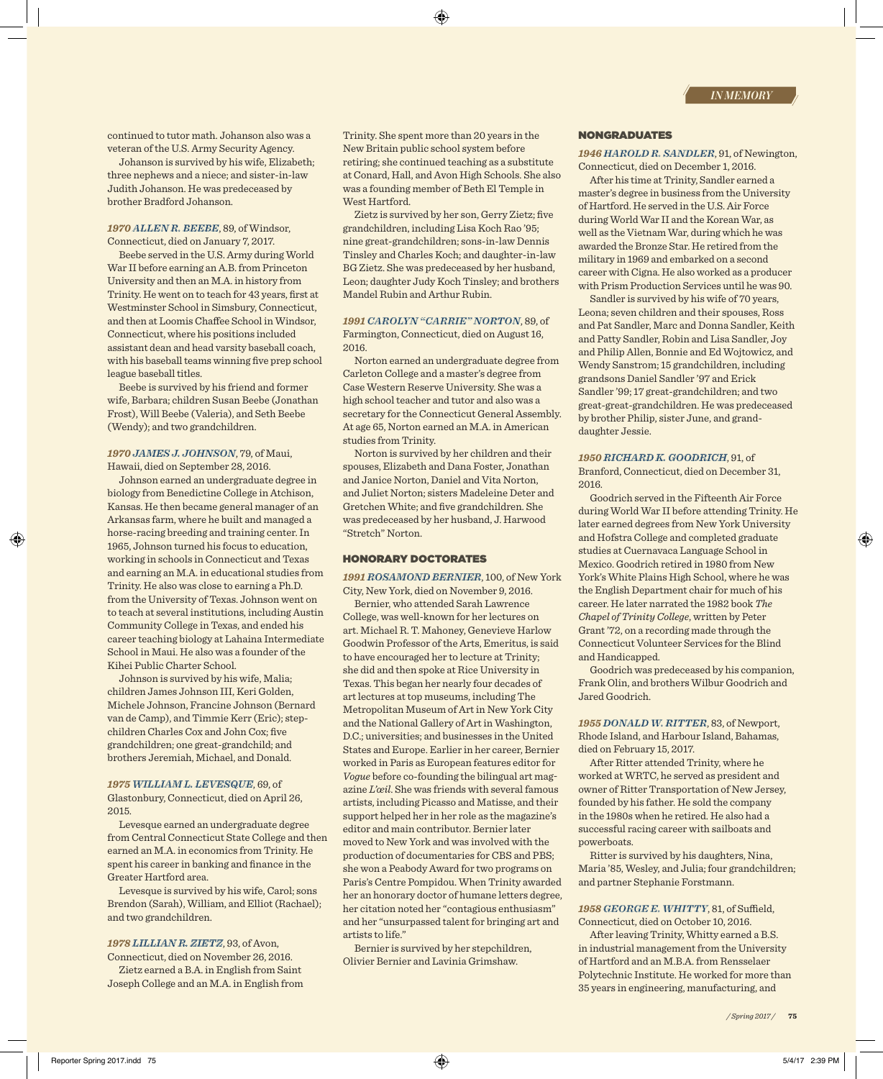continued to tutor math. Johanson also was a veteran of the U.S. Army Security Agency.

Johanson is survived by his wife, Elizabeth; three nephews and a niece; and sister-in-law Judith Johanson. He was predeceased by brother Bradford Johanson.

### *1970 ALLEN R. BEEBE*, 89, of Windsor, Connecticut, died on January 7, 2017.

Beebe served in the U.S. Army during World War II before earning an A.B. from Princeton University and then an M.A. in history from Trinity. He went on to teach for 43 years, first at Westminster School in Simsbury, Connecticut, and then at Loomis Chaffee School in Windsor, Connecticut, where his positions included assistant dean and head varsity baseball coach, with his baseball teams winning five prep school league baseball titles.

Beebe is survived by his friend and former wife, Barbara; children Susan Beebe (Jonathan Frost), Will Beebe (Valeria), and Seth Beebe (Wendy); and two grandchildren.

### *1970 JAMES J. JOHNSON*, 79, of Maui, Hawaii, died on September 28, 2016.

Johnson earned an undergraduate degree in biology from Benedictine College in Atchison, Kansas. He then became general manager of an Arkansas farm, where he built and managed a horse-racing breeding and training center. In 1965, Johnson turned his focus to education, working in schools in Connecticut and Texas and earning an M.A. in educational studies from Trinity. He also was close to earning a Ph.D. from the University of Texas. Johnson went on to teach at several institutions, including Austin Community College in Texas, and ended his career teaching biology at Lahaina Intermediate School in Maui. He also was a founder of the Kihei Public Charter School.

Johnson is survived by his wife, Malia; children James Johnson III, Keri Golden, Michele Johnson, Francine Johnson (Bernard van de Camp), and Timmie Kerr (Eric); stepchildren Charles Cox and John Cox; five grandchildren; one great-grandchild; and brothers Jeremiah, Michael, and Donald.

#### *1975 WILLIAM L. LEVESQUE*, 69, of Glastonbury, Connecticut, died on April 26, 2015.

Levesque earned an undergraduate degree from Central Connecticut State College and then earned an M.A. in economics from Trinity. He spent his career in banking and finance in the Greater Hartford area.

Levesque is survived by his wife, Carol; sons Brendon (Sarah), William, and Elliot (Rachael); and two grandchildren.

### *1978 LILLIAN R. ZIETZ*, 93, of Avon, Connecticut, died on November 26, 2016.

Zietz earned a B.A. in English from Saint Joseph College and an M.A. in English from Trinity. She spent more than 20 years in the New Britain public school system before retiring; she continued teaching as a substitute at Conard, Hall, and Avon High Schools. She also was a founding member of Beth El Temple in West Hartford.

Zietz is survived by her son, Gerry Zietz; five grandchildren, including Lisa Koch Rao '95; nine great-grandchildren; sons-in-law Dennis Tinsley and Charles Koch; and daughter-in-law BG Zietz. She was predeceased by her husband, Leon; daughter Judy Koch Tinsley; and brothers Mandel Rubin and Arthur Rubin.

### *1991 CAROLYN "CARRIE" NORTON*, 89, of Farmington, Connecticut, died on August 16, 2016.

Norton earned an undergraduate degree from Carleton College and a master's degree from Case Western Reserve University. She was a high school teacher and tutor and also was a secretary for the Connecticut General Assembly. At age 65, Norton earned an M.A. in American studies from Trinity.

Norton is survived by her children and their spouses, Elizabeth and Dana Foster, Jonathan and Janice Norton, Daniel and Vita Norton, and Juliet Norton; sisters Madeleine Deter and Gretchen White; and five grandchildren. She was predeceased by her husband, J. Harwood "Stretch" Norton.

#### HONORARY DOCTORATES

*1991 ROSAMOND BERNIER*, 100, of New York City, New York, died on November 9, 2016.

Bernier, who attended Sarah Lawrence College, was well-known for her lectures on art. Michael R. T. Mahoney, Genevieve Harlow Goodwin Professor of the Arts, Emeritus, is said to have encouraged her to lecture at Trinity; she did and then spoke at Rice University in Texas. This began her nearly four decades of art lectures at top museums, including The Metropolitan Museum of Art in New York City and the National Gallery of Art in Washington, D.C.; universities; and businesses in the United States and Europe. Earlier in her career, Bernier worked in Paris as European features editor for *Vogue* before co-founding the bilingual art magazine *L'œil*. She was friends with several famous artists, including Picasso and Matisse, and their support helped her in her role as the magazine's editor and main contributor. Bernier later moved to New York and was involved with the production of documentaries for CBS and PBS; she won a Peabody Award for two programs on Paris's Centre Pompidou. When Trinity awarded her an honorary doctor of humane letters degree, her citation noted her "contagious enthusiasm" and her "unsurpassed talent for bringing art and artists to life."

Bernier is survived by her stepchildren, Olivier Bernier and Lavinia Grimshaw.

#### NONGRADUATES

*1946 HAROLD R. SANDLER*, 91, of Newington, Connecticut, died on December 1, 2016.

After his time at Trinity, Sandler earned a master's degree in business from the University of Hartford. He served in the U.S. Air Force during World War II and the Korean War, as well as the Vietnam War, during which he was awarded the Bronze Star. He retired from the military in 1969 and embarked on a second career with Cigna. He also worked as a producer with Prism Production Services until he was 90.

Sandler is survived by his wife of 70 years, Leona; seven children and their spouses, Ross and Pat Sandler, Marc and Donna Sandler, Keith and Patty Sandler, Robin and Lisa Sandler, Joy and Philip Allen, Bonnie and Ed Wojtowicz, and Wendy Sanstrom; 15 grandchildren, including grandsons Daniel Sandler '97 and Erick Sandler '99; 17 great-grandchildren; and two great-great-grandchildren. He was predeceased by brother Philip, sister June, and granddaughter Jessie.

#### *1950 RICHARD K. GOODRICH*, 91, of

Branford, Connecticut, died on December 31, 2016.

Goodrich served in the Fifteenth Air Force during World War II before attending Trinity. He later earned degrees from New York University and Hofstra College and completed graduate studies at Cuernavaca Language School in Mexico. Goodrich retired in 1980 from New York's White Plains High School, where he was the English Department chair for much of his career. He later narrated the 1982 book *The Chapel of Trinity College*, written by Peter Grant '72, on a recording made through the Connecticut Volunteer Services for the Blind and Handicapped.

Goodrich was predeceased by his companion, Frank Olin, and brothers Wilbur Goodrich and Jared Goodrich.

*1955 DONALD W. RITTER*, 83, of Newport, Rhode Island, and Harbour Island, Bahamas, died on February 15, 2017.

After Ritter attended Trinity, where he worked at WRTC, he served as president and owner of Ritter Transportation of New Jersey, founded by his father. He sold the company in the 1980s when he retired. He also had a successful racing career with sailboats and powerboats.

Ritter is survived by his daughters, Nina, Maria '85, Wesley, and Julia; four grandchildren; and partner Stephanie Forstmann.

### *1958 GEORGE E. WHITTY*, 81, of Suffield, Connecticut, died on October 10, 2016.

After leaving Trinity, Whitty earned a B.S. in industrial management from the University of Hartford and an M.B.A. from Rensselaer Polytechnic Institute. He worked for more than 35 years in engineering, manufacturing, and